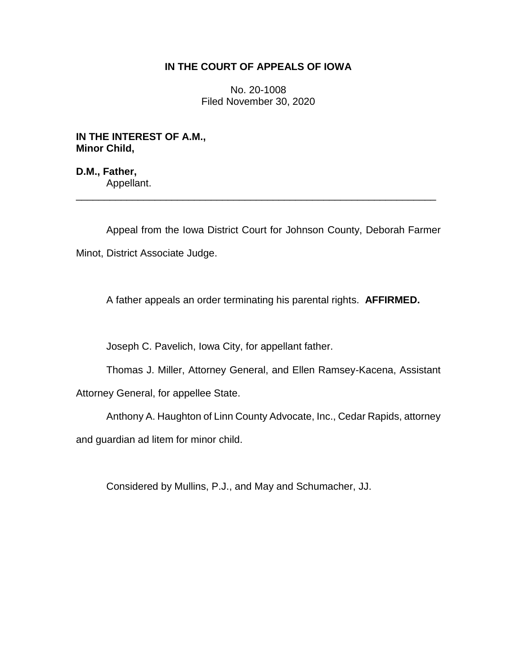# **IN THE COURT OF APPEALS OF IOWA**

No. 20-1008 Filed November 30, 2020

**IN THE INTEREST OF A.M., Minor Child,**

**D.M., Father,** Appellant.

Appeal from the Iowa District Court for Johnson County, Deborah Farmer Minot, District Associate Judge.

\_\_\_\_\_\_\_\_\_\_\_\_\_\_\_\_\_\_\_\_\_\_\_\_\_\_\_\_\_\_\_\_\_\_\_\_\_\_\_\_\_\_\_\_\_\_\_\_\_\_\_\_\_\_\_\_\_\_\_\_\_\_\_\_

A father appeals an order terminating his parental rights. **AFFIRMED.**

Joseph C. Pavelich, Iowa City, for appellant father.

Thomas J. Miller, Attorney General, and Ellen Ramsey-Kacena, Assistant

Attorney General, for appellee State.

Anthony A. Haughton of Linn County Advocate, Inc., Cedar Rapids, attorney and guardian ad litem for minor child.

Considered by Mullins, P.J., and May and Schumacher, JJ.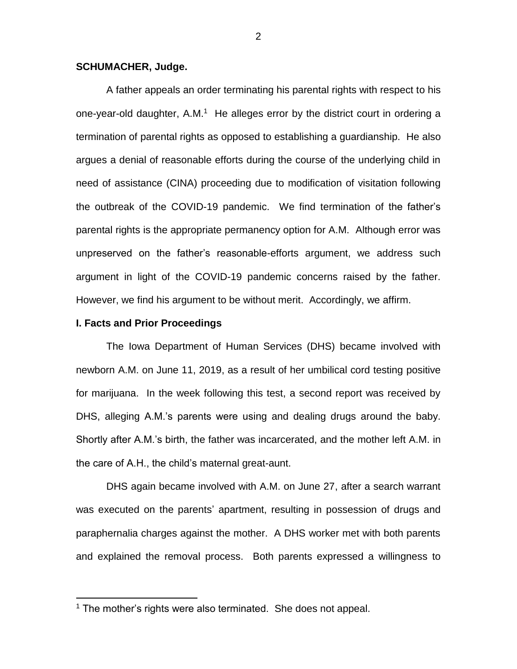## **SCHUMACHER, Judge.**

A father appeals an order terminating his parental rights with respect to his one-year-old daughter, A.M. $1$  He alleges error by the district court in ordering a termination of parental rights as opposed to establishing a guardianship. He also argues a denial of reasonable efforts during the course of the underlying child in need of assistance (CINA) proceeding due to modification of visitation following the outbreak of the COVID-19 pandemic. We find termination of the father's parental rights is the appropriate permanency option for A.M. Although error was unpreserved on the father's reasonable-efforts argument, we address such argument in light of the COVID-19 pandemic concerns raised by the father. However, we find his argument to be without merit. Accordingly, we affirm.

## **I. Facts and Prior Proceedings**

 $\overline{a}$ 

The Iowa Department of Human Services (DHS) became involved with newborn A.M. on June 11, 2019, as a result of her umbilical cord testing positive for marijuana. In the week following this test, a second report was received by DHS, alleging A.M.'s parents were using and dealing drugs around the baby. Shortly after A.M.'s birth, the father was incarcerated, and the mother left A.M. in the care of A.H., the child's maternal great-aunt.

DHS again became involved with A.M. on June 27, after a search warrant was executed on the parents' apartment, resulting in possession of drugs and paraphernalia charges against the mother. A DHS worker met with both parents and explained the removal process. Both parents expressed a willingness to

<sup>&</sup>lt;sup>1</sup> The mother's rights were also terminated. She does not appeal.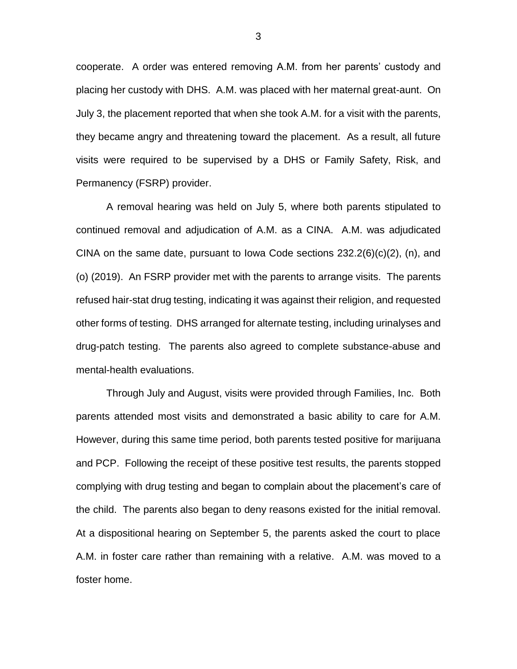cooperate. A order was entered removing A.M. from her parents' custody and placing her custody with DHS. A.M. was placed with her maternal great-aunt. On July 3, the placement reported that when she took A.M. for a visit with the parents, they became angry and threatening toward the placement. As a result, all future visits were required to be supervised by a DHS or Family Safety, Risk, and Permanency (FSRP) provider.

A removal hearing was held on July 5, where both parents stipulated to continued removal and adjudication of A.M. as a CINA. A.M. was adjudicated CINA on the same date, pursuant to Iowa Code sections 232.2(6)(c)(2), (n), and (o) (2019). An FSRP provider met with the parents to arrange visits. The parents refused hair-stat drug testing, indicating it was against their religion, and requested other forms of testing. DHS arranged for alternate testing, including urinalyses and drug-patch testing. The parents also agreed to complete substance-abuse and mental-health evaluations.

Through July and August, visits were provided through Families, Inc. Both parents attended most visits and demonstrated a basic ability to care for A.M. However, during this same time period, both parents tested positive for marijuana and PCP. Following the receipt of these positive test results, the parents stopped complying with drug testing and began to complain about the placement's care of the child. The parents also began to deny reasons existed for the initial removal. At a dispositional hearing on September 5, the parents asked the court to place A.M. in foster care rather than remaining with a relative. A.M. was moved to a foster home.

3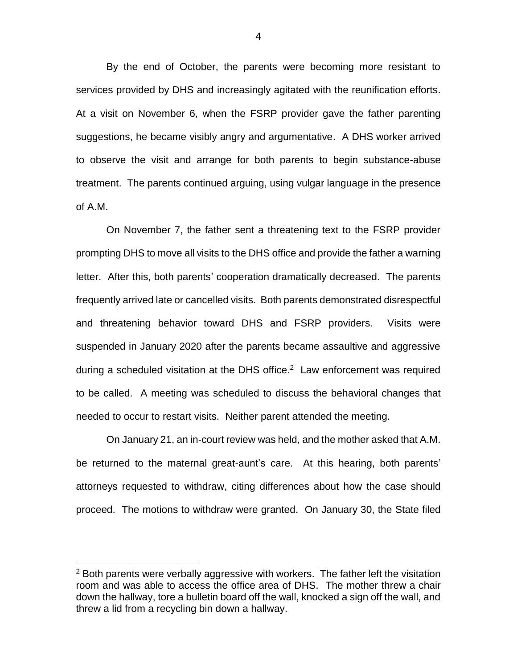By the end of October, the parents were becoming more resistant to services provided by DHS and increasingly agitated with the reunification efforts. At a visit on November 6, when the FSRP provider gave the father parenting suggestions, he became visibly angry and argumentative. A DHS worker arrived to observe the visit and arrange for both parents to begin substance-abuse treatment. The parents continued arguing, using vulgar language in the presence of A.M.

On November 7, the father sent a threatening text to the FSRP provider prompting DHS to move all visits to the DHS office and provide the father a warning letter. After this, both parents' cooperation dramatically decreased. The parents frequently arrived late or cancelled visits. Both parents demonstrated disrespectful and threatening behavior toward DHS and FSRP providers. Visits were suspended in January 2020 after the parents became assaultive and aggressive during a scheduled visitation at the DHS office. <sup>2</sup> Law enforcement was required to be called. A meeting was scheduled to discuss the behavioral changes that needed to occur to restart visits. Neither parent attended the meeting.

On January 21, an in-court review was held, and the mother asked that A.M. be returned to the maternal great-aunt's care. At this hearing, both parents' attorneys requested to withdraw, citing differences about how the case should proceed. The motions to withdraw were granted. On January 30, the State filed

 $\overline{a}$ 

 $2$  Both parents were verbally aggressive with workers. The father left the visitation room and was able to access the office area of DHS. The mother threw a chair down the hallway, tore a bulletin board off the wall, knocked a sign off the wall, and threw a lid from a recycling bin down a hallway.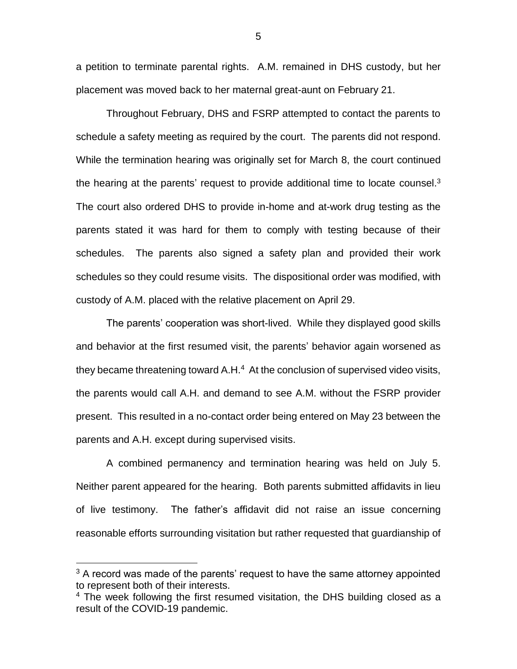a petition to terminate parental rights. A.M. remained in DHS custody, but her placement was moved back to her maternal great-aunt on February 21.

Throughout February, DHS and FSRP attempted to contact the parents to schedule a safety meeting as required by the court. The parents did not respond. While the termination hearing was originally set for March 8, the court continued the hearing at the parents' request to provide additional time to locate counsel. $3$ The court also ordered DHS to provide in-home and at-work drug testing as the parents stated it was hard for them to comply with testing because of their schedules. The parents also signed a safety plan and provided their work schedules so they could resume visits. The dispositional order was modified, with custody of A.M. placed with the relative placement on April 29.

The parents' cooperation was short-lived. While they displayed good skills and behavior at the first resumed visit, the parents' behavior again worsened as they became threatening toward A.H.<sup>4</sup> At the conclusion of supervised video visits, the parents would call A.H. and demand to see A.M. without the FSRP provider present. This resulted in a no-contact order being entered on May 23 between the parents and A.H. except during supervised visits.

A combined permanency and termination hearing was held on July 5. Neither parent appeared for the hearing. Both parents submitted affidavits in lieu of live testimony. The father's affidavit did not raise an issue concerning reasonable efforts surrounding visitation but rather requested that guardianship of

 $\overline{a}$ 

 $3$  A record was made of the parents' request to have the same attorney appointed to represent both of their interests.

<sup>&</sup>lt;sup>4</sup> The week following the first resumed visitation, the DHS building closed as a result of the COVID-19 pandemic.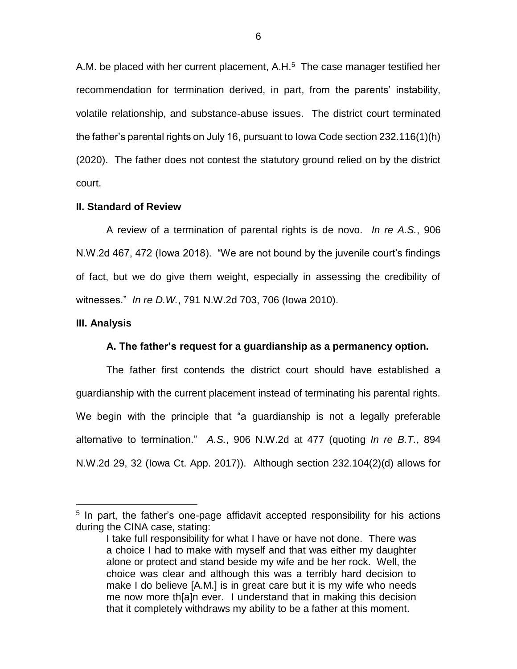A.M. be placed with her current placement, A.H.<sup>5</sup> The case manager testified her recommendation for termination derived, in part, from the parents' instability, volatile relationship, and substance-abuse issues. The district court terminated the father's parental rights on July 16, pursuant to Iowa Code section 232.116(1)(h) (2020). The father does not contest the statutory ground relied on by the district court.

# **II. Standard of Review**

A review of a termination of parental rights is de novo. *In re A.S.*, 906 N.W.2d 467, 472 (Iowa 2018). "We are not bound by the juvenile court's findings of fact, but we do give them weight, especially in assessing the credibility of witnesses." *In re D.W.*, 791 N.W.2d 703, 706 (Iowa 2010).

#### **III. Analysis**

 $\overline{a}$ 

### **A. The father's request for a guardianship as a permanency option.**

The father first contends the district court should have established a guardianship with the current placement instead of terminating his parental rights. We begin with the principle that "a guardianship is not a legally preferable alternative to termination." *A.S.*, 906 N.W.2d at 477 (quoting *In re B.T.*, 894 N.W.2d 29, 32 (Iowa Ct. App. 2017)). Although section 232.104(2)(d) allows for

<sup>&</sup>lt;sup>5</sup> In part, the father's one-page affidavit accepted responsibility for his actions during the CINA case, stating:

I take full responsibility for what I have or have not done. There was a choice I had to make with myself and that was either my daughter alone or protect and stand beside my wife and be her rock. Well, the choice was clear and although this was a terribly hard decision to make I do believe [A.M.] is in great care but it is my wife who needs me now more th[a]n ever. I understand that in making this decision that it completely withdraws my ability to be a father at this moment.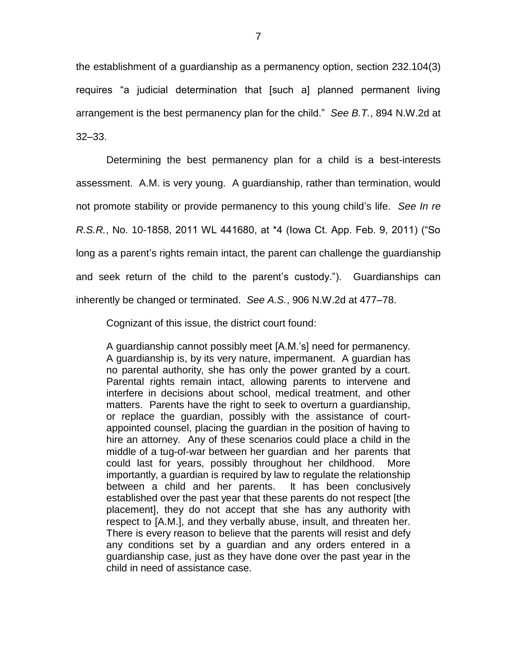the establishment of a guardianship as a permanency option, section 232.104(3) requires "a judicial determination that [such a] planned permanent living arrangement is the best permanency plan for the child." *See B.T.*, 894 N.W.2d at 32–33.

Determining the best permanency plan for a child is a best-interests assessment. A.M. is very young. A guardianship, rather than termination, would not promote stability or provide permanency to this young child's life. *See In re R.S.R.*, No. 10-1858, 2011 WL 441680, at \*4 (Iowa Ct. App. Feb. 9, 2011) ("So long as a parent's rights remain intact, the parent can challenge the guardianship and seek return of the child to the parent's custody."). Guardianships can inherently be changed or terminated. *See A.S.*, 906 N.W.2d at 477–78.

Cognizant of this issue, the district court found:

A guardianship cannot possibly meet [A.M.'s] need for permanency. A guardianship is, by its very nature, impermanent. A guardian has no parental authority, she has only the power granted by a court. Parental rights remain intact, allowing parents to intervene and interfere in decisions about school, medical treatment, and other matters. Parents have the right to seek to overturn a guardianship, or replace the guardian, possibly with the assistance of courtappointed counsel, placing the guardian in the position of having to hire an attorney. Any of these scenarios could place a child in the middle of a tug-of-war between her guardian and her parents that could last for years, possibly throughout her childhood. More importantly, a guardian is required by law to regulate the relationship between a child and her parents. It has been conclusively established over the past year that these parents do not respect [the placement], they do not accept that she has any authority with respect to [A.M.], and they verbally abuse, insult, and threaten her. There is every reason to believe that the parents will resist and defy any conditions set by a guardian and any orders entered in a guardianship case, just as they have done over the past year in the child in need of assistance case.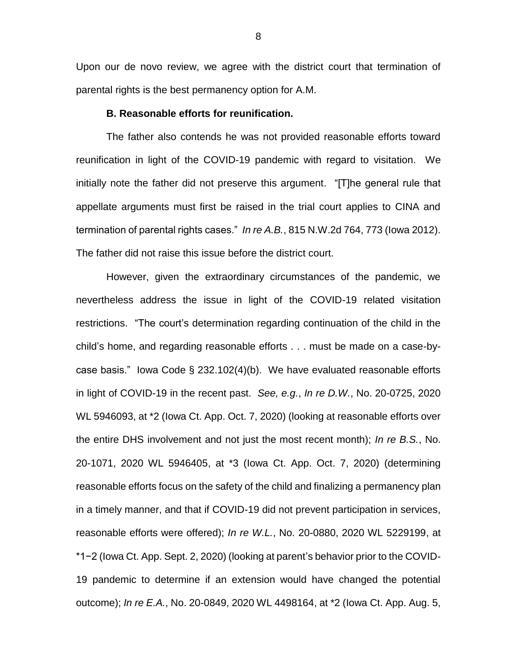Upon our de novo review, we agree with the district court that termination of parental rights is the best permanency option for A.M.

## **B. Reasonable efforts for reunification.**

The father also contends he was not provided reasonable efforts toward reunification in light of the COVID-19 pandemic with regard to visitation. We initially note the father did not preserve this argument. "[T]he general rule that appellate arguments must first be raised in the trial court applies to CINA and termination of parental rights cases." *In re A.B.*, 815 N.W.2d 764, 773 (Iowa 2012). The father did not raise this issue before the district court.

However, given the extraordinary circumstances of the pandemic, we nevertheless address the issue in light of the COVID-19 related visitation restrictions. "The court's determination regarding continuation of the child in the child's home, and regarding reasonable efforts . . . must be made on a case-bycase basis." Iowa Code § 232.102(4)(b). We have evaluated reasonable efforts in light of COVID-19 in the recent past. *See, e.g.*, *In re D.W.*, No. 20-0725, 2020 WL 5946093, at \*2 (Iowa Ct. App. Oct. 7, 2020) (looking at reasonable efforts over the entire DHS involvement and not just the most recent month); *In re B.S.*, No. 20-1071, 2020 WL 5946405, at \*3 (Iowa Ct. App. Oct. 7, 2020) (determining reasonable efforts focus on the safety of the child and finalizing a permanency plan in a timely manner, and that if COVID-19 did not prevent participation in services, reasonable efforts were offered); *In re W.L.*, No. 20-0880, 2020 WL 5229199, at \*1−2 (Iowa Ct. App. Sept. 2, 2020) (looking at parent's behavior prior to the COVID-19 pandemic to determine if an extension would have changed the potential outcome); *In re E.A.*, No. 20-0849, 2020 WL 4498164, at \*2 (Iowa Ct. App. Aug. 5,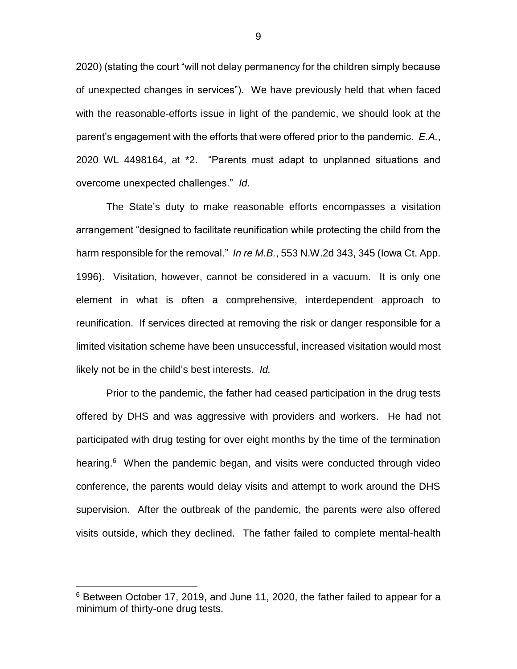2020) (stating the court "will not delay permanency for the children simply because of unexpected changes in services"). We have previously held that when faced with the reasonable-efforts issue in light of the pandemic, we should look at the parent's engagement with the efforts that were offered prior to the pandemic. *E.A.*, 2020 WL 4498164, at \*2. "Parents must adapt to unplanned situations and overcome unexpected challenges." *Id*.

The State's duty to make reasonable efforts encompasses a visitation arrangement "designed to facilitate reunification while protecting the child from the harm responsible for the removal." *In re M.B.*, 553 N.W.2d 343, 345 (Iowa Ct. App. 1996). Visitation, however, cannot be considered in a vacuum. It is only one element in what is often a comprehensive, interdependent approach to reunification. If services directed at removing the risk or danger responsible for a limited visitation scheme have been unsuccessful, increased visitation would most likely not be in the child's best interests. *Id.*

Prior to the pandemic, the father had ceased participation in the drug tests offered by DHS and was aggressive with providers and workers. He had not participated with drug testing for over eight months by the time of the termination hearing.<sup>6</sup> When the pandemic began, and visits were conducted through video conference, the parents would delay visits and attempt to work around the DHS supervision. After the outbreak of the pandemic, the parents were also offered visits outside, which they declined. The father failed to complete mental-health

 $\overline{a}$ 

9

 $6$  Between October 17, 2019, and June 11, 2020, the father failed to appear for a minimum of thirty-one drug tests.